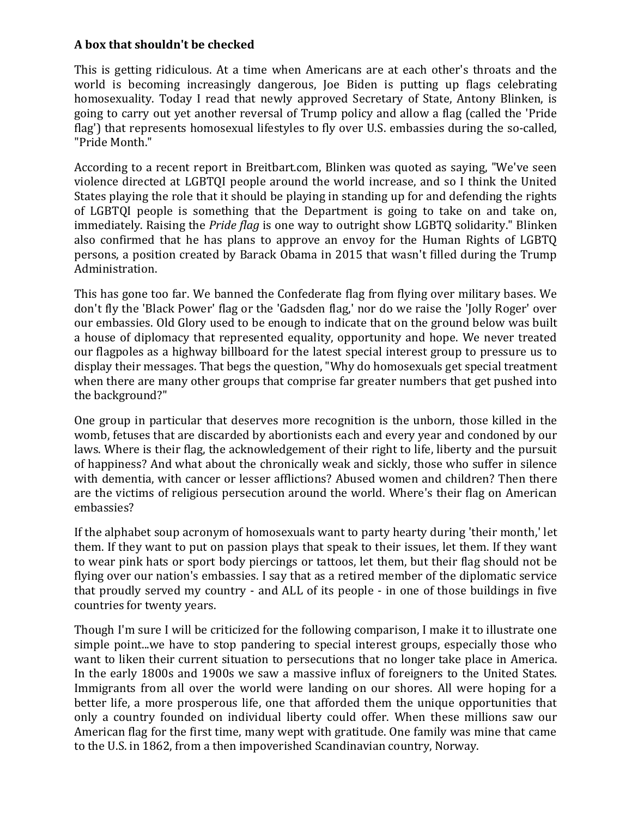## **A box that shouldn't be checked**

This is getting ridiculous. At a time when Americans are at each other's throats and the world is becoming increasingly dangerous, Joe Biden is putting up flags celebrating homosexuality. Today I read that newly approved Secretary of State, Antony Blinken, is going to carry out yet another reversal of Trump policy and allow a flag (called the 'Pride flag') that represents homosexual lifestyles to fly over U.S. embassies during the so-called, "Pride Month."

According to a recent report in Breitbart.com, Blinken was quoted as saying, "We've seen violence directed at LGBTQI people around the world increase, and so I think the United States playing the role that it should be playing in standing up for and defending the rights of LGBTQI people is something that the Department is going to take on and take on, immediately. Raising the *Pride flag* is one way to outright show LGBTQ solidarity." Blinken also confirmed that he has plans to approve an envoy for the Human Rights of LGBTQ persons, a position created by Barack Obama in 2015 that wasn't filled during the Trump Administration.

This has gone too far. We banned the Confederate flag from flying over military bases. We don't fly the 'Black Power' flag or the 'Gadsden flag,' nor do we raise the 'Jolly Roger' over our embassies. Old Glory used to be enough to indicate that on the ground below was built a house of diplomacy that represented equality, opportunity and hope. We never treated our flagpoles as a highway billboard for the latest special interest group to pressure us to display their messages. That begs the question, "Why do homosexuals get special treatment when there are many other groups that comprise far greater numbers that get pushed into the background?"

One group in particular that deserves more recognition is the unborn, those killed in the womb, fetuses that are discarded by abortionists each and every year and condoned by our laws. Where is their flag, the acknowledgement of their right to life, liberty and the pursuit of happiness? And what about the chronically weak and sickly, those who suffer in silence with dementia, with cancer or lesser afflictions? Abused women and children? Then there are the victims of religious persecution around the world. Where's their flag on American embassies?

If the alphabet soup acronym of homosexuals want to party hearty during 'their month,' let them. If they want to put on passion plays that speak to their issues, let them. If they want to wear pink hats or sport body piercings or tattoos, let them, but their flag should not be flying over our nation's embassies. I say that as a retired member of the diplomatic service that proudly served my country - and ALL of its people - in one of those buildings in five countries for twenty years.

Though I'm sure I will be criticized for the following comparison, I make it to illustrate one simple point...we have to stop pandering to special interest groups, especially those who want to liken their current situation to persecutions that no longer take place in America. In the early 1800s and 1900s we saw a massive influx of foreigners to the United States. Immigrants from all over the world were landing on our shores. All were hoping for a better life, a more prosperous life, one that afforded them the unique opportunities that only a country founded on individual liberty could offer. When these millions saw our American flag for the first time, many wept with gratitude. One family was mine that came to the U.S. in 1862, from a then impoverished Scandinavian country, Norway.